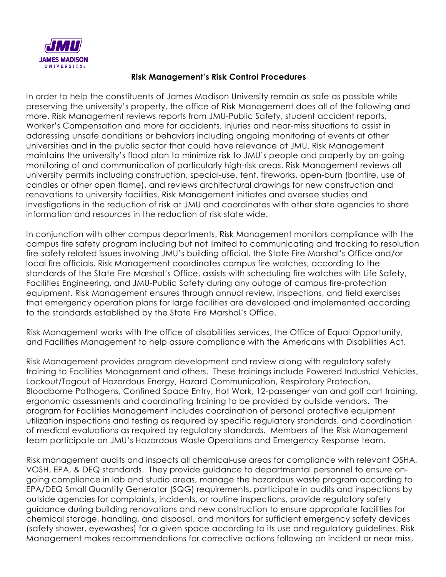

## **Risk Management's Risk Control Procedures**

In order to help the constituents of James Madison University remain as safe as possible while preserving the university's property, the office of Risk Management does all of the following and more. Risk Management reviews reports from JMU-Public Safety, student accident reports, Worker's Compensation and more for accidents, injuries and near-miss situations to assist in addressing unsafe conditions or behaviors including ongoing monitoring of events at other universities and in the public sector that could have relevance at JMU. Risk Management maintains the university's flood plan to minimize risk to JMU's people and property by on-going monitoring of and communication of particularly high-risk areas. Risk Management reviews all university permits including construction, special-use, tent, fireworks, open-burn (bonfire, use of candles or other open flame), and reviews architectural drawings for new construction and renovations to university facilities. Risk Management initiates and oversee studies and investigations in the reduction of risk at JMU and coordinates with other state agencies to share information and resources in the reduction of risk state wide.

In conjunction with other campus departments, Risk Management monitors compliance with the campus fire safety program including but not limited to communicating and tracking to resolution fire-safety related issues involving JMU's building official, the State Fire Marshal's Office and/or local fire officials. Risk Management coordinates campus fire watches, according to the standards of the State Fire Marshal's Office, assists with scheduling fire watches with Life Safety, Facilities Engineering, and JMU-Public Safety during any outage of campus fire-protection equipment. Risk Management ensures through annual review, inspections, and field exercises that emergency operation plans for large facilities are developed and implemented according to the standards established by the State Fire Marshal's Office.

Risk Management works with the office of disabilities services, the Office of Equal Opportunity, and Facilities Management to help assure compliance with the Americans with Disabilities Act.

Risk Management provides program development and review along with regulatory safety training to Facilities Management and others. These trainings include Powered Industrial Vehicles, Lockout/Tagout of Hazardous Energy, Hazard Communication, Respiratory Protection, Bloodborne Pathogens, Confined Space Entry, Hot Work, 12-passenger van and golf cart training, ergonomic assessments and coordinating training to be provided by outside vendors. The program for Facilities Management includes coordination of personal protective equipment utilization inspections and testing as required by specific regulatory standards, and coordination of medical evaluations as required by regulatory standards. Members of the Risk Management team participate on JMU's Hazardous Waste Operations and Emergency Response team.

Risk management audits and inspects all chemical-use areas for compliance with relevant OSHA, VOSH, EPA, & DEQ standards. They provide guidance to departmental personnel to ensure ongoing compliance in lab and studio areas, manage the hazardous waste program according to EPA/DEQ Small Quantity Generator (SQG) requirements, participate in audits and inspections by outside agencies for complaints, incidents, or routine inspections, provide regulatory safety guidance during building renovations and new construction to ensure appropriate facilities for chemical storage, handling, and disposal, and monitors for sufficient emergency safety devices (safety shower, eyewashes) for a given space according to its use and regulatory guidelines. Risk Management makes recommendations for corrective actions following an incident or near-miss,